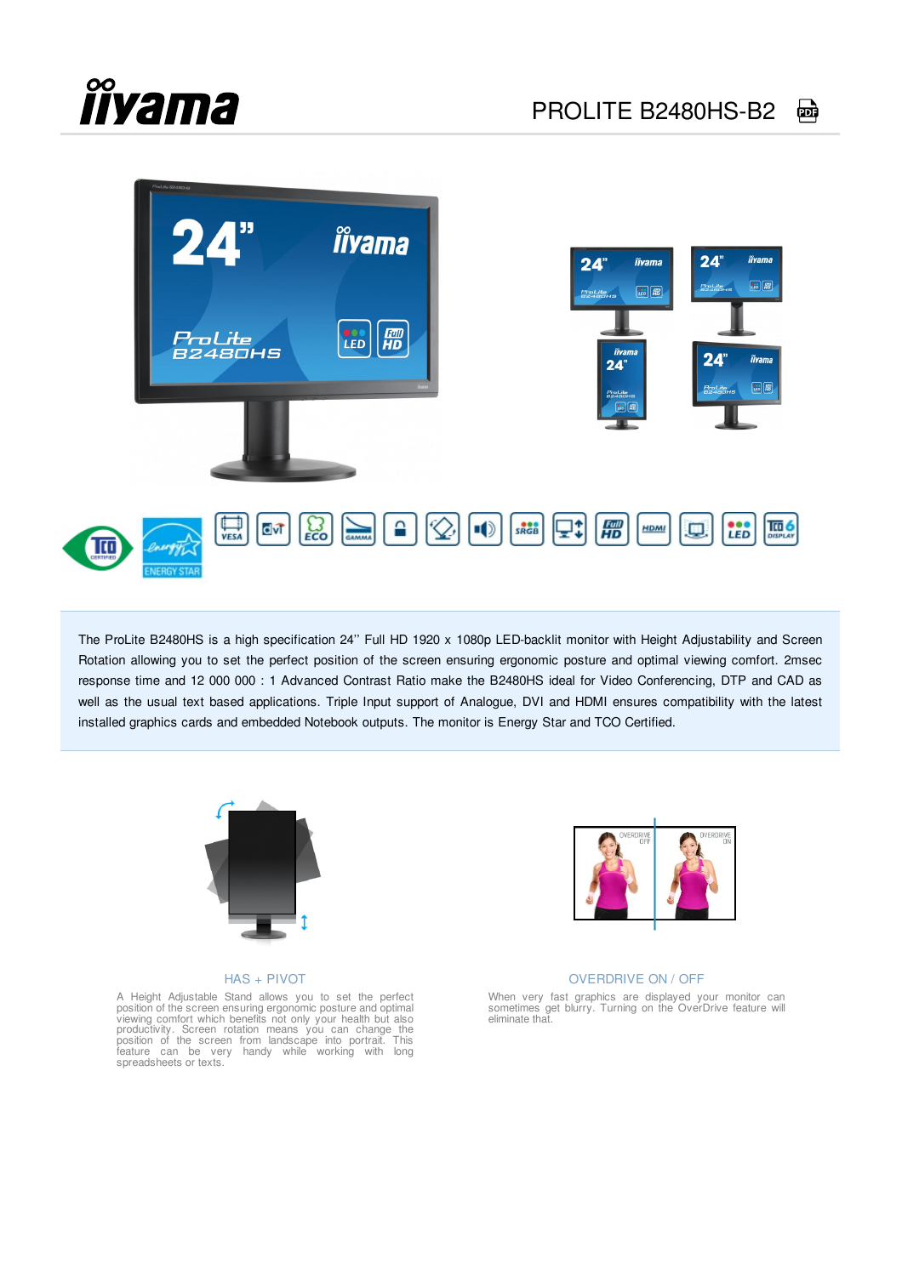



The ProLite B2480HS is a high specification 24'' Full HD 1920 x 1080p LED-backlit monitor with Height Adjustability and Screen Rotation allowing you to set the perfect position of the screen ensuring ergonomic posture and optimal viewing comfort. 2msec response time and 12 000 000 : 1 Advanced Contrast Ratio make the B2480HS ideal for Video Conferencing, DTP and CAD as well as the usual text based applications. Triple Input support of Analogue, DVI and HDMI ensures compatibility with the latest installed graphics cards and embedded Notebook outputs. The monitor is Energy Star and TCO Certified.



HAS + PIVOT

A Height Adjustable Stand allows you to set the perfect<br>position of the screen ensuring ergonomic posture and optimal<br>viewing comfort which benefits not only your health but also<br>productivity. Screen rotation means you can spreadsheets or texts.



#### OVERDRIVE ON / OFF

When very fast graphics are displayed your monitor can sometimes get blurry. Turning on the OverDrive feature will eliminate that.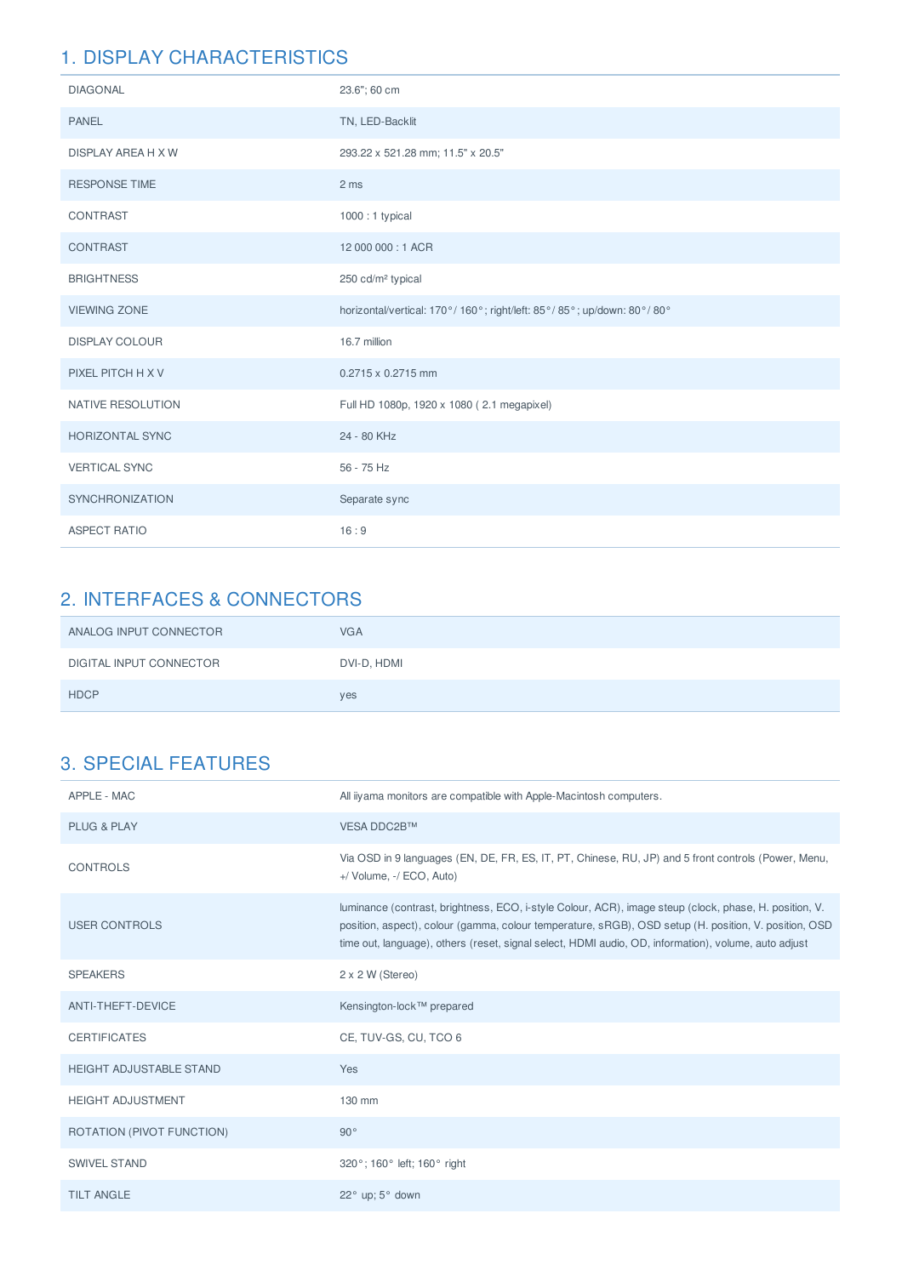# 1. DISPLAY CHARACTERISTICS

| <b>DIAGONAL</b>           | 23.6"; 60 cm                                                          |
|---------------------------|-----------------------------------------------------------------------|
| <b>PANEL</b>              | TN, LED-Backlit                                                       |
| <b>DISPLAY AREA H X W</b> | 293.22 x 521.28 mm; 11.5" x 20.5"                                     |
| <b>RESPONSE TIME</b>      | 2 <sub>ms</sub>                                                       |
| CONTRAST                  | 1000: 1 typical                                                       |
| <b>CONTRAST</b>           | 12 000 000 : 1 ACR                                                    |
| <b>BRIGHTNESS</b>         | 250 cd/m <sup>2</sup> typical                                         |
| <b>VIEWING ZONE</b>       | horizontal/vertical: 170°/160°; right/left: 85°/85°; up/down: 80°/80° |
| <b>DISPLAY COLOUR</b>     | 16.7 million                                                          |
| PIXEL PITCH H X V         | 0.2715 x 0.2715 mm                                                    |
| <b>NATIVE RESOLUTION</b>  | Full HD 1080p, 1920 x 1080 (2.1 megapixel)                            |
| <b>HORIZONTAL SYNC</b>    | 24 - 80 KHz                                                           |
| <b>VERTICAL SYNC</b>      | 56 - 75 Hz                                                            |
| <b>SYNCHRONIZATION</b>    | Separate sync                                                         |
| <b>ASPECT RATIO</b>       | 16:9                                                                  |

# 2. INTERFACES & CONNECTORS

| ANALOG INPUT CONNECTOR  | <b>VGA</b>  |
|-------------------------|-------------|
| DIGITAL INPUT CONNECTOR | DVI-D, HDMI |
| <b>HDCP</b>             | yes         |

# 3. SPECIAL FEATURES

| APPLE - MAC                    | All iiyama monitors are compatible with Apple-Macintosh computers.                                                                                                                                                                                                                                                      |
|--------------------------------|-------------------------------------------------------------------------------------------------------------------------------------------------------------------------------------------------------------------------------------------------------------------------------------------------------------------------|
| <b>PLUG &amp; PLAY</b>         | VESA DDC2B™                                                                                                                                                                                                                                                                                                             |
| <b>CONTROLS</b>                | Via OSD in 9 languages (EN, DE, FR, ES, IT, PT, Chinese, RU, JP) and 5 front controls (Power, Menu,<br>+/ Volume, -/ ECO, Auto)                                                                                                                                                                                         |
| <b>USER CONTROLS</b>           | luminance (contrast, brightness, ECO, i-style Colour, ACR), image steup (clock, phase, H. position, V.<br>position, aspect), colour (gamma, colour temperature, sRGB), OSD setup (H. position, V. position, OSD<br>time out, language), others (reset, signal select, HDMI audio, OD, information), volume, auto adjust |
| <b>SPEAKERS</b>                | 2 x 2 W (Stereo)                                                                                                                                                                                                                                                                                                        |
| <b>ANTI-THEFT-DEVICE</b>       | Kensington-lock™ prepared                                                                                                                                                                                                                                                                                               |
| <b>CERTIFICATES</b>            | CE, TUV-GS, CU, TCO 6                                                                                                                                                                                                                                                                                                   |
| <b>HEIGHT ADJUSTABLE STAND</b> | Yes                                                                                                                                                                                                                                                                                                                     |
| <b>HEIGHT ADJUSTMENT</b>       | 130 mm                                                                                                                                                                                                                                                                                                                  |
| ROTATION (PIVOT FUNCTION)      | $90^{\circ}$                                                                                                                                                                                                                                                                                                            |
| <b>SWIVEL STAND</b>            | 320°; 160° left; 160° right                                                                                                                                                                                                                                                                                             |
| <b>TILT ANGLE</b>              | 22° up: 5° down                                                                                                                                                                                                                                                                                                         |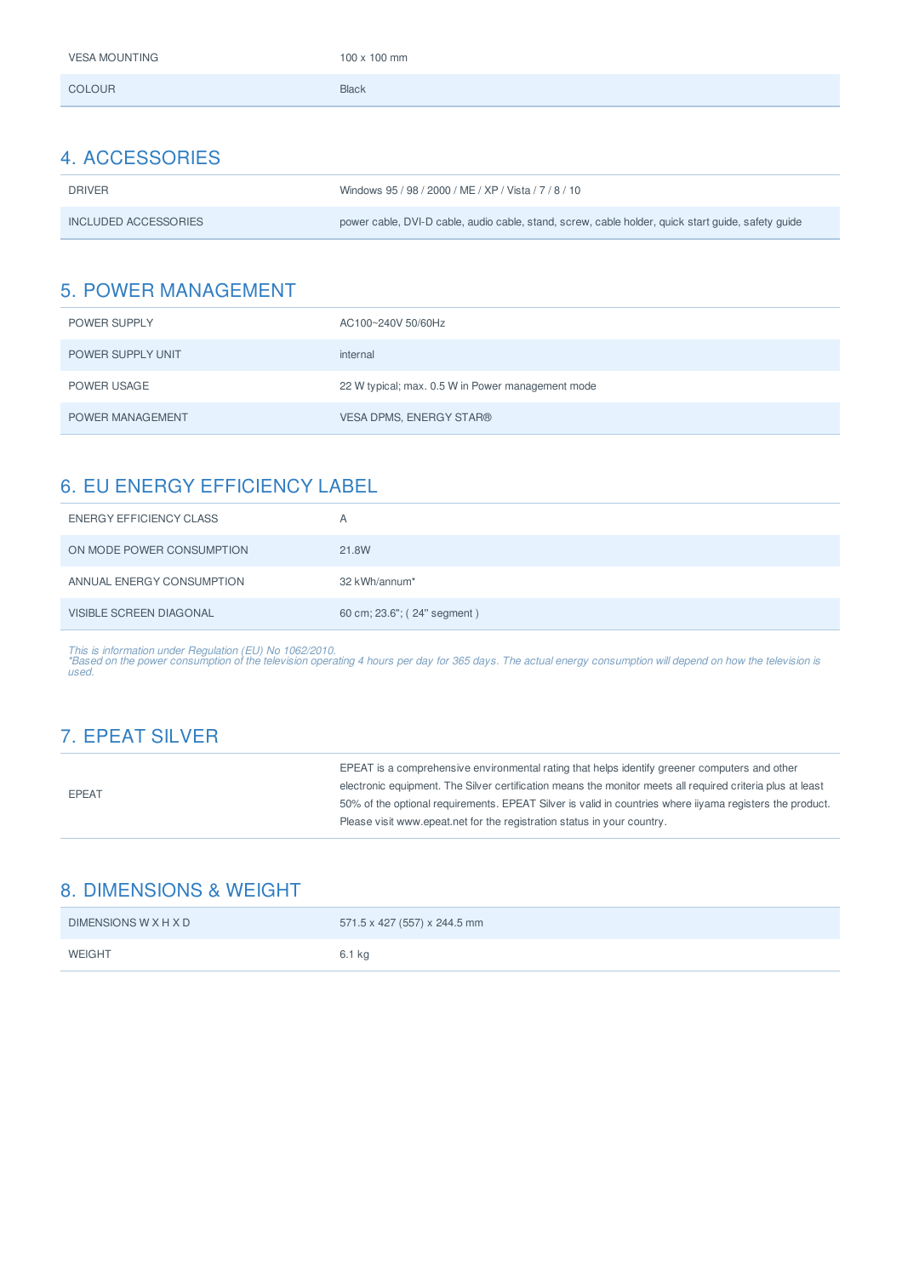#### 4. ACCESSORIES

| <b>DRIVER</b>        | Windows 95/98/2000/ME/XP/Vista/7/8/10                                                              |
|----------------------|----------------------------------------------------------------------------------------------------|
| INCLUDED ACCESSORIES | power cable, DVI-D cable, audio cable, stand, screw, cable holder, quick start guide, safety guide |

### 5. POWER MANAGEMENT

| <b>POWER SUPPLY</b>      | AC100~240V 50/60Hz                                |
|--------------------------|---------------------------------------------------|
| <b>POWER SUPPLY UNIT</b> | internal                                          |
| <b>POWER USAGE</b>       | 22 W typical; max. 0.5 W in Power management mode |
| POWER MANAGEMENT         | <b>VESA DPMS, ENERGY STAR®</b>                    |

# 6. EU ENERGY EFFICIENCY LABEL

| ENERGY EFFICIENCY CLASS   | A                           |
|---------------------------|-----------------------------|
| ON MODE POWER CONSUMPTION | 21.8W                       |
| ANNUAL ENERGY CONSUMPTION | 32 kWh/annum*               |
| VISIBLE SCREEN DIAGONAL   | 60 cm; 23.6"; (24" segment) |

This is information under Regulation (EU) No 1062/2010.<br>\*Based on the power consumption of the television operating 4 hours per day for 365 days. The actual energy consumption will depend on how the television is *used.*

# 7. EPEAT SILVER

| <b>EPEAT</b> | Please visit www.epeat.net for the registration status in your country.                                    |
|--------------|------------------------------------------------------------------------------------------------------------|
|              | 50% of the optional requirements. EPEAT Silver is valid in countries where iiyama registers the product.   |
|              | electronic equipment. The Silver certification means the monitor meets all required criteria plus at least |
|              | EPEAT is a comprehensive environmental rating that helps identify greener computers and other              |

## 8. DIMENSIONS & WEIGHT

| <b>DIMENSIONS W X H X D</b> | 571.5 x 427 (557) x 244.5 mm |
|-----------------------------|------------------------------|
| <b>WEIGHT</b>               | $6.1$ kg                     |